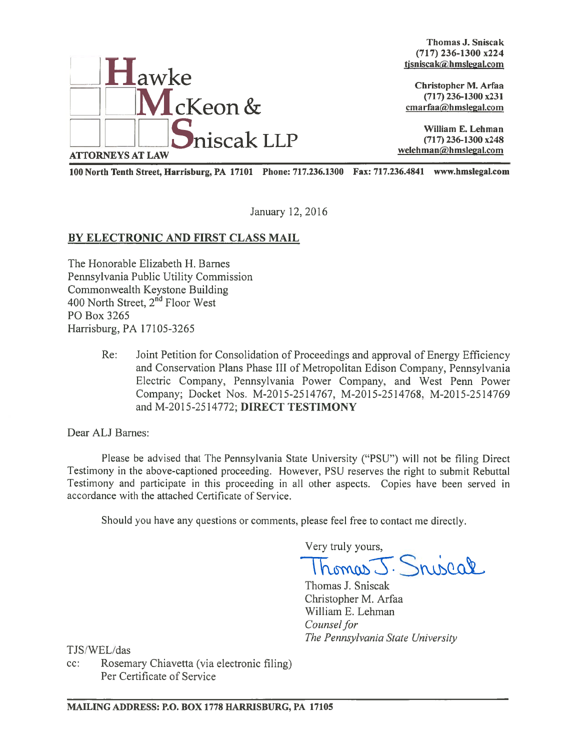

Thomas J. Sniscak (717) 236-1300 x224 tjsniscak@hmslegal.com

(717) 236-1300 x231  $cmarfaa@hmslegal.com$ 

100 North Tenth Street, Harrisburg, PA 17101 Phone: 717.236.1300 Fax: 717.236.4841 www.hms1ega1.com

January 12, 2016

# BY ELECTRONIC AND FIRST CLASS MAIL

The Honorable Elizabeth H. Barnes Pennsylvania Public Utility Commission Commonwealth Keystone Building 400 North Street, 2<sup>nd</sup> Floor West P0 Box 3265 Harrisburg, PA 17105-3265

> Re: Joint Petition for Consolidation of Proceedings and approval of Energy Efficiency and Conservation Plans Phase III of Metropolitan Edison Company, Pennsylvania Electric Company, Pennsylvania Power Company, and West Penn Power Company; Docket Nos. M-2015-2514767, M-2015-2514768, M-2015-2514769 and M-2015-25 14772; DIRECT TESTIMONY

Dear ALJ Barnes:

Please be advised that The Pennsylvania State University ("PSU") will not be filing Direct Testimony in the above-captioned proceeding. However, PSU reserves the right to submit Rebuttal Testimony and participate in this proceeding in all other aspects. Copies have been served in accordance with the attached Certificate of Service.

Should you have any questions or comments, please feel free to contact me directly.

Very truly yours,

homas J. Sniscal

Thomas J. Sniscak Christopher M. Arfaa William E. Lehman Counsel for The Pennsylvania State University

TJS/WEL/das

cc: Rosemary Chiavetta (via electronic filing) Per Certificate of Service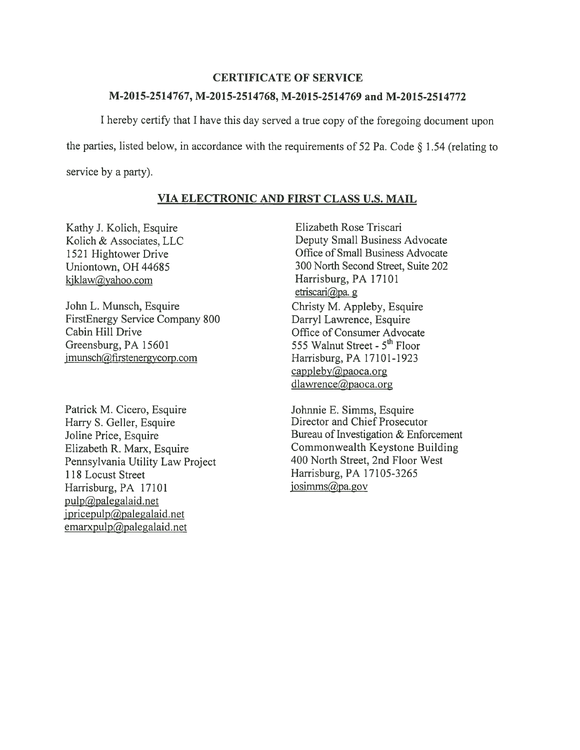#### CERTIFICATE OF SERVICE

## M-2015-2514767, M-2015-2514768, M-2015-2514769 and M-2015-2514772

<sup>I</sup> hereby certify that <sup>I</sup> have this day served <sup>a</sup> true copy of the foregoing document upon the parties, listed below, in accordance with the requirements of <sup>52</sup> Pa. Code § 1.54 (relating to service by <sup>a</sup> party).

## VIA ELECTRONIC AND FIRST CLASS U.S. MAIL

Kathy J. Kolich, Esquire Kolich & Associates, LLC 1521 Hightower Drive Uniontown, OH 44685 kjklaw@yahoo.com

John L. Munsch, Esquire FirstEnergy Service Company \$00 Cabin Hill Drive Greensburg, PA 15601 jmunsch(dfirstenergycorp.com

Patrick M. Cicero, Esquire Harry S. Geller, Esquire Joline Price, Esquire Elizabeth R. Marx, Esquire Pennsylvania Utility Law Project 118 Locust Street Harrisburg, PA 17101 pulp@palegalaid.net  $ipricepulp@palegalaid.net$  $emaryulp(*a*)<sub>p</sub>alegalaid.net$ 

Elizabeth Rose Triscari Deputy Small Business Advocate Office of Small Business Advocate 300 North Second Street, Suite 202 Harrisburg, PA 17101 etriscari@pa. g Christy M. Appleby, Esquire Darryl Lawrence, Esquire Office of Consumer Advocate 555 Walnut Street - 5" Floor Harrisburg, PA 17101-1923  $cappleby@paoca.org$ dlawrence@paoca.org

Johnnie E. Simms, Esquire Director and Chief Prosecutor Bureau of Investigation & Enforcement Commonwealth Keystone Building 400 North Street, 2nd Floor West Harrisburg, PA 17105-3265 iosimms@pa.gov